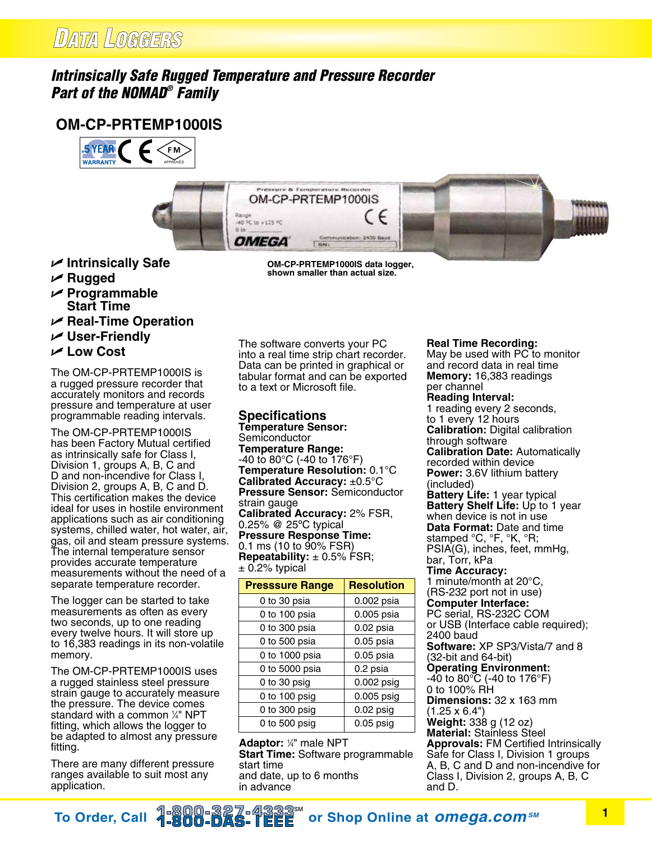## *Intrinsically Safe Rugged Temperature and Pressure Recorder Part of the NOMAD® Family*

## **OM-CP-PRTEMP1000IS**





- **∠** Intrinsically Safe
- U **Rugged**
- U **Programmable Start Time**
- $⊯$  **Real-Time Operation**
- U **User-Friendly**
- U **Low Cost**

The OM-CP-PRTEMP1000IS is a rugged pressure recorder that accurately monitors and records pressure and temperature at user programmable reading intervals.

The OM-CP-PRTEMP1000IS has been Factory Mutual certified as intrinsically safe for Class I, Division 1, groups A, B, C and D and non-incendive for Class I, Division 2, groups A, B, C and D. This certification makes the device ideal for uses in hostile environment applications such as air conditioning systems, chilled water, hot water, air, gas, oil and steam pressure systems. The internal temperature sensor provides accurate temperature measurements without the need of a separate temperature recorder.

The logger can be started to take measurements as often as every two seconds, up to one reading every twelve hours. It will store up to 16,383 readings in its non-volatile memory.

The OM-CP-PRTEMP1000IS uses a rugged stainless steel pressure strain gauge to accurately measure the pressure. The device comes standard with a common 1 ⁄4" NPT fitting, which allows the logger to be adapted to almost any pressure fitting.

There are many different pressure ranges available to suit most any application.

**OM-CP-PRTEMP1000IS data logger, shown smaller than actual size.**

The software converts your PC into a real time strip chart recorder. Data can be printed in graphical or tabular format and can be exported to a text or Microsoft file.

## **Specifications**

**Temperature Sensor:** Semiconductor **Temperature Range:** -40 to 80°C (-40 to 176°F) **Temperature Resolution:** 0.1°C **Calibrated Accuracy:** ±0.5°C **Pressure Sensor:** Semiconductor strain gauge **Calibrated Accuracy:** 2% FSR, 0.25% @ 25ºC typical **Pressure Response Time:** 0.1 ms (10 to 90% FSR) **Repeatability:** ± 0.5% FSR;  $\pm$  0.2% typical

| <b>Presssure Range</b> | <b>Resolution</b> |
|------------------------|-------------------|
| 0 to 30 psia           | 0.002 psia        |
| 0 to 100 psia          | 0.005 psia        |
| 0 to 300 psia          | $0.02$ psia       |
| 0 to 500 psia          | $0.05$ psia       |
| 0 to 1000 psia         | $0.05$ psia       |
| 0 to 5000 psia         | 0.2 psia          |
| 0 to 30 psig           | $0.002$ psig      |
| 0 to 100 psig          | 0.005 psig        |
| 0 to 300 psig          | $0.02$ psig       |
| 0 to $500$ psig        | $0.05$ psig       |

**Adaptor:** 1/4" male NPT **Start Time:** Software programmable start time and date, up to 6 months in advance

**Real Time Recording:** May be used with PC to monitor and record data in real time **Memory:** 16,383 readings per channel **Reading Interval:** 1 reading every 2 seconds, to 1 every 12 hours **Calibration:** Digital calibration through software **Calibration Date:** Automatically recorded within device **Power:** 3.6V lithium battery (included) **Battery Life:** 1 year typical **Battery Shelf Life:** Up to 1 year when device is not in use **Data Format:** Date and time stamped °C, °F, °K, °R; PSIA(G), inches, feet, mmHg, bar, Torr, kPa **Time Accuracy:**  1 minute/month at 20°C, (RS-232 port not in use) **Computer Interface:** PC serial, RS-232C COM or USB (Interface cable required); 2400 baud **Software:** XP SP3/Vista/7 and 8 (32-bit and 64-bit) **Operating Environment:** -40 to 80°C (-40 to 176°F) 0 to 100% RH **Dimensions:** 32 x 163 mm (1.25 x 6.4") **Weight:** 338 g (12 oz) **Material:** Stainless Steel **Approvals:** FM Certified Intrinsically Safe for Class I, Division 1 groups A, B, C and D and non-incendive for Class I, Division 2, groups A, B, C and D.